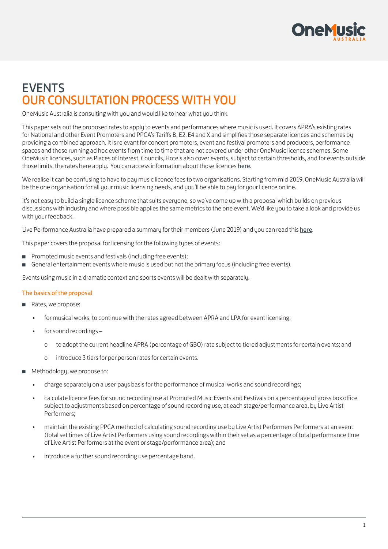

## **FVENTS** OUR CONSULTATION PROCESS WITH YOU

OneMusic Australia is consulting with you and would like to hear what you think.

This paper sets out the proposed rates to apply to events and performances where music is used. It covers APRA's existing rates for National and other Event Promoters and PPCA's Tariffs B, E2, E4 and X and simplifies those separate licences and schemes by providing a combined approach. It is relevant for concert promoters, event and festival promoters and producers, performance spaces and those running ad hoc events from time to time that are not covered under other OneMusic licence schemes. Some OneMusic licences, such as Places of Interest, Councils, Hotels also cover events, subject to certain thresholds, and for events outside those limits, the rates [here](http://www.onemusic.com.au) apply. You can access information about those licences here.

We realise it can be confusing to have to pay music licence fees to two organisations. Starting from mid-2019, OneMusic Australia will be the one organisation for all your music licensing needs, and you'll be able to pay for your licence online.

It's not easy to build a single licence scheme that suits everyone, so we've come up with a proposal which builds on previous discussions with industry and where possible applies the same metrics to the one event. We'd like you to take a look and provide us with your feedback.

Live Performance Australia have prepared a summary for their members (June 2019) and you can read this [here](https://onemusic.com.au/media/consultation/LPA-OneMusic_Events-Licence.pdf).

This paper covers the proposal for licensing for the following types of events:

- Promoted music events and festivals (including free events);
- General entertainment events where music is used but not the primary focus (including free events).

Events using music in a dramatic context and sports events will be dealt with separately.

#### The basics of the proposal

- Rates, we propose:
	- for musical works, to continue with the rates agreed between APRA and LPA for event licensing;
	- for sound recordings
		- o to adopt the current headline APRA (percentage of GBO) rate subject to tiered adjustments for certain events; and
		- o introduce 3 tiers for per person rates for certain events.
- Methodology, we propose to:
	- charge separately on a user-pays basis for the performance of musical works and sound recordings;
	- calculate licence fees for sound recording use at Promoted Music Events and Festivals on a percentage of gross box office subject to adjustments based on percentage of sound recording use, at each stage/performance area, by Live Artist Performers;
	- maintain the existing PPCA method of calculating sound recording use by Live Artist Performers Performers at an event (total set times of Live Artist Performers using sound recordings within their set as a percentage of total performance time of Live Artist Performers at the event or stage/performance area); and
	- introduce a further sound recording use percentage band.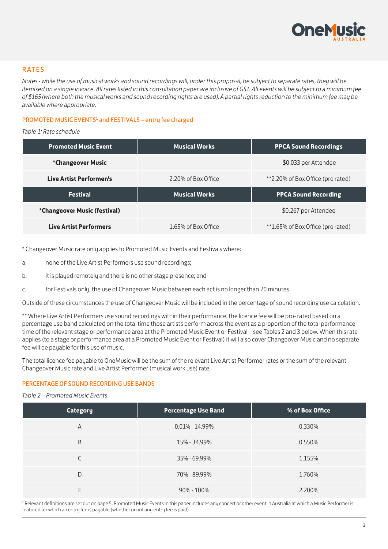

#### RATES

*Notes - while the use of musical works and sound recordings will, under this proposal, be subject to separate rates, they will be itemised on a single invoice. All rates listed in this consultation paper are inclusive of GST. All events will be subject to a minimum fee of \$165 (where both the musical works and sound recording rights are used). A partial rights reduction to the minimum fee may be available where appropriate.*

#### PROMOTED MUSIC EVENTS<sup>1</sup> and FESTIVALS - entry fee charged

*Table 1: Rate schedule*

| <b>Promoted Music Event</b>  | <b>Musical Works</b><br><b>PPCA Sound Recordings</b>     |                             |  |  |  |
|------------------------------|----------------------------------------------------------|-----------------------------|--|--|--|
| <i>*</i> Changeover Music    |                                                          | \$0.033 per Attendee        |  |  |  |
| Live Artist Performer/s      | **2.20% of Box Office (pro rated)<br>2.20% of Box Office |                             |  |  |  |
|                              |                                                          |                             |  |  |  |
| <b>Festival</b>              | <b>Musical Works</b>                                     | <b>PPCA Sound Recording</b> |  |  |  |
| *Changeover Music (festival) |                                                          | \$0.267 per Attendee        |  |  |  |

\* Changeover Music rate only applies to Promoted Music Events and Festivals where:

a. none of the Live Artist Performers use sound recordings;

b. it is played remotely and there is no other stage presence; and

c. for Festivals only, the use of Changeover Music between each act is no longer than 20 minutes.

Outside of these circumstances the use of Changeover Music will be included in the percentage of sound recording use calculation.

\*\* Where Live Artist Performers use sound recordings within their performance, the licence fee will be pro-rated based on a percentage use band calculated on the total time those artists perform across the event as a proportion of the total performance time of the relevant stage or performance area at the Promoted Music Event or Festival – see Tables 2 and 3 below. When this rate applies (to a stage or performance area at a Promoted Music Event or Festival) it will also cover Changeover Music and no separate fee will be payable for this use of music.

The total licence fee pauable to OneMusic will be the sum of the relevant Live Artist Performer rates or the sum of the relevant Changeover Music rate and Live Artist Performer (musical work use) rate.

#### PERCENTAGE OF SOUND RECORDING USE BANDS

#### *Table 2 – Promoted Music Events*

| <b>Category</b> | <b>Percentage Use Band</b> | % of Box Office |
|-----------------|----------------------------|-----------------|
| A               | $0.01\% - 14.99\%$         | 0.330%          |
| B               | 15% - 34.99%               | 0.550%          |
|                 | 35% - 69.99%               | 1.155%          |
| D               | 70% - 89.99%               | 1.760%          |
|                 | $90\% - 100\%$             | 2.200%          |

<sup>1</sup> Relevant definitions are set out on page 5. Promoted Music Events in this paper includes any concert or other event in Australia at which a Music Performer is featured for which an entry fee is payable (whether or not any entry fee is paid).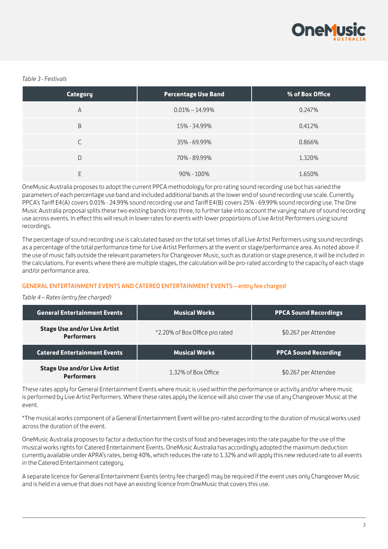

#### *Table 3 - Festivals*

| <b>Category</b> | <b>Percentage Use Band</b> | % of Box Office |
|-----------------|----------------------------|-----------------|
| A               | $0.01\% - 14.99\%$         | 0.247%          |
| B               | 15% - 34.99%               | 0.412%          |
|                 | 35% - 69.99%               | 0.866%          |
| D               | 70% - 89.99%               | 1.320%          |
| Е               | $90\% - 100\%$             | 1.650%          |

OneMusic Australia proposes to adopt the current PPCA methodology for pro rating sound recording use but has varied the parameters of each percentage use band and included additional bands at the lower end of sound recording use scale. Currently PPCA's Tariff E4(A) covers 0.01% - 24.99% sound recording use and Tariff E4(B) covers 25% - 69.99% sound recording use. The One Music Australia proposal splits these two existing bands into three, to further take into account the varying nature of sound recording use across events. In effect this will result in lower rates for events with lower proportions of Live Artist Performers using sound recordings.

The percentage of sound recording use is calculated based on the total set times of all Live Artist Performers using sound recordings as a percentage of the total performance time for Live Artist Performers at the event or stage/performance area. As noted above if the use of music falls outside the relevant parameters for Changeover Music, such as duration or stage presence, it will be included in the calculations. For events where there are multiple stages, the calculation will be pro-rated according to the capacity of each stage and/or performance area.

#### GENERAL ENTERTAINMENT EVENTS AND CATERED ENTERTAINMENT EVENTS – entry fee charged

#### *Table 4 – Rates (entry fee charged)*

| <b>General Entertainment Events</b>                      | <b>Musical Works</b>           | <b>PPCA Sound Recordings</b> |  |
|----------------------------------------------------------|--------------------------------|------------------------------|--|
| <b>Stage Use and/or Live Artist</b><br><b>Performers</b> | *2.20% of Box Office pro rated | \$0.267 per Attendee         |  |
| <b>Catered Entertainment Events</b>                      | <b>Musical Works</b>           | <b>PPCA Sound Recording</b>  |  |
| <b>Stage Use and/or Live Artist</b><br><b>Performers</b> | 1.32% of Box Office            | \$0.267 per Attendee         |  |

These rates apply for General Entertainment Events where music is used within the performance or activity and/or where music is performed by Live Artist Performers. Where these rates apply the licence will also cover the use of any Changeover Music at the event.

\*The musical works component of a General Entertainment Event will be pro-rated according to the duration of musical works used across the duration of the event.

OneMusic Australia proposes to factor a deduction for the costs of food and beverages into the rate pauabe for the use of the musical works rights for Catered Entertainment Events. OneMusic Australia has accordingly adopted the maximum deduction currently available under APRA's rates, being 40%, which reduces the rate to 1.32% and will apply this new reduced rate to all events in the Catered Entertainment category.

A separate licence for General Entertainment Events (entry fee charged) may be required if the event uses only Changeover Music and is held in a venue that does not have an existing licence from OneMusic that covers this use.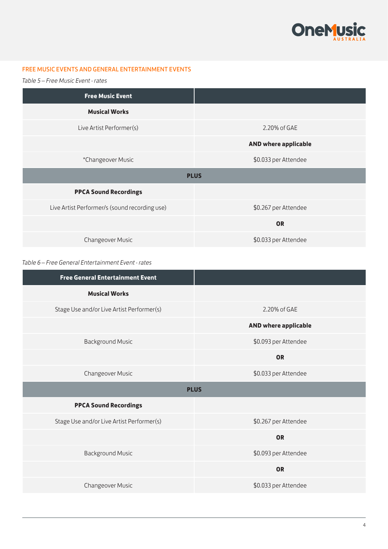

#### FREE MUSIC EVENTS AND GENERAL ENTERTAINMENT EVENTS

*Table 5 – Free Music Event - rates*

| <b>Free Music Event</b>                       |                             |
|-----------------------------------------------|-----------------------------|
| <b>Musical Works</b>                          |                             |
| Live Artist Performer(s)                      | 2.20% of GAE                |
|                                               | <b>AND where applicable</b> |
| *Changeover Music                             | \$0.033 per Attendee        |
|                                               | <b>PLUS</b>                 |
| <b>PPCA Sound Recordings</b>                  |                             |
| Live Artist Performer/s (sound recording use) | \$0.267 per Attendee        |
|                                               | <b>OR</b>                   |
| Changeover Music                              | \$0.033 per Attendee        |

#### *Table 6 – Free General Entertainment Event - rates*

| <b>Free General Entertainment Event</b>   |                             |
|-------------------------------------------|-----------------------------|
| <b>Musical Works</b>                      |                             |
| Stage Use and/or Live Artist Performer(s) | 2.20% of GAE                |
|                                           | <b>AND where applicable</b> |
| <b>Background Music</b>                   | \$0.093 per Attendee        |
|                                           | <b>OR</b>                   |
| Changeover Music                          | \$0.033 per Attendee        |
|                                           | <b>PLUS</b>                 |
| <b>PPCA Sound Recordings</b>              |                             |
| Stage Use and/or Live Artist Performer(s) | \$0.267 per Attendee        |
|                                           | <b>OR</b>                   |
| <b>Background Music</b>                   | \$0.093 per Attendee        |
|                                           |                             |
|                                           | <b>OR</b>                   |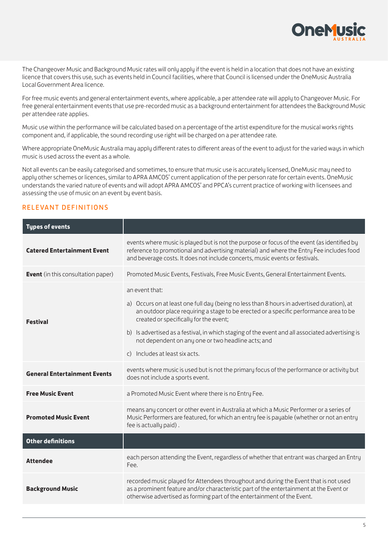

The Changeover Music and Background Music rates will only apply if the event is held in a location that does not have an existing licence that covers this use, such as events held in Council facilities, where that Council is licensed under the OneMusic Australia Local Government Area licence.

For free music events and general entertainment events, where applicable, a per attendee rate will apply to Changeover Music. For free general entertainment events that use pre-recorded music as a background entertainment for attendees the Background Music per attendee rate applies.

Music use within the performance will be calculated based on a percentage of the artist expenditure for the musical works rights component and, if applicable, the sound recording use right will be charged on a per attendee rate.

Where appropriate OneMusic Australia may apply different rates to different areas of the event to adjust for the varied ways in which music is used across the event as a whole.

Not all events can be easily categorised and sometimes, to ensure that music use is accurately licensed, OneMusic may need to apply other schemes or licences, similar to APRA AMCOS' current application of the per person rate for certain events. OneMusic understands the varied nature of events and will adopt APRA AMCOS' and PPCA's current practice of working with licensees and assessing the use of music on an event by event basis.

#### RELEVANT DEFINITIONS

| <b>Types of events</b>                    |                                                                                                                                                                                                                                                                                                                                                                                                                                                         |
|-------------------------------------------|---------------------------------------------------------------------------------------------------------------------------------------------------------------------------------------------------------------------------------------------------------------------------------------------------------------------------------------------------------------------------------------------------------------------------------------------------------|
| <b>Catered Entertainment Event</b>        | events where music is played but is not the purpose or focus of the event (as identified by<br>reference to promotional and advertising material) and where the Entry Fee includes food<br>and beverage costs. It does not include concerts, music events or festivals.                                                                                                                                                                                 |
| <b>Event</b> (in this consultation paper) | Promoted Music Events, Festivals, Free Music Events, General Entertainment Events.                                                                                                                                                                                                                                                                                                                                                                      |
| <b>Festival</b>                           | an event that:<br>a) Occurs on at least one full day (being no less than 8 hours in advertised duration), at<br>an outdoor place requiring a stage to be erected or a specific performance area to be<br>created or specifically for the event;<br>b) Is advertised as a festival, in which staging of the event and all associated advertising is<br>not dependent on any one or two headline acts; and<br>Includes at least six acts.<br>$\mathsf{C}$ |
| <b>General Entertainment Events</b>       | events where music is used but is not the primary focus of the performance or activity but<br>does not include a sports event.                                                                                                                                                                                                                                                                                                                          |
| <b>Free Music Event</b>                   | a Promoted Music Event where there is no Entry Fee.                                                                                                                                                                                                                                                                                                                                                                                                     |
| <b>Promoted Music Event</b>               | means any concert or other event in Australia at which a Music Performer or a series of<br>Music Performers are featured, for which an entry fee is payable (whether or not an entry<br>fee is actually paid).                                                                                                                                                                                                                                          |
| <b>Other definitions</b>                  |                                                                                                                                                                                                                                                                                                                                                                                                                                                         |
| <b>Attendee</b>                           | each person attending the Event, regardless of whether that entrant was charged an Entry<br>Fee.                                                                                                                                                                                                                                                                                                                                                        |
| <b>Background Music</b>                   | recorded music played for Attendees throughout and during the Event that is not used<br>as a prominent feature and/or characteristic part of the entertainment at the Event or<br>otherwise advertised as forming part of the entertainment of the Event.                                                                                                                                                                                               |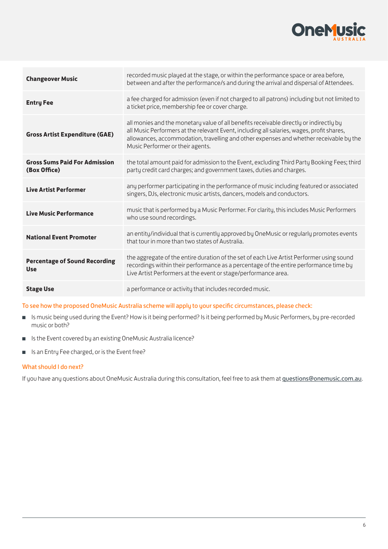

| <b>Changeover Music</b>                              | recorded music played at the stage, or within the performance space or area before,<br>between and after the performance/s and during the arrival and dispersal of Attendees.                                                                                                                                     |
|------------------------------------------------------|-------------------------------------------------------------------------------------------------------------------------------------------------------------------------------------------------------------------------------------------------------------------------------------------------------------------|
| <b>Entry Fee</b>                                     | a fee charged for admission (even if not charged to all patrons) including but not limited to<br>a ticket price, membership fee or cover charge.                                                                                                                                                                  |
| <b>Gross Artist Expenditure (GAE)</b>                | all monies and the monetary value of all benefits receivable directly or indirectly by<br>all Music Performers at the relevant Event, including all salaries, wages, profit shares,<br>allowances, accommodation, travelling and other expenses and whether receivable by the<br>Music Performer or their agents. |
| <b>Gross Sums Paid For Admission</b><br>(Box Office) | the total amount paid for admission to the Event, excluding Third Party Booking Fees; third<br>party credit card charges; and government taxes, duties and charges.                                                                                                                                               |
| <b>Live Artist Performer</b>                         | any performer participating in the performance of music including featured or associated<br>singers, DJs, electronic music artists, dancers, models and conductors.                                                                                                                                               |
| <b>Live Music Performance</b>                        | music that is performed by a Music Performer. For clarity, this includes Music Performers<br>who use sound recordings.                                                                                                                                                                                            |
| <b>National Event Promoter</b>                       | an entity/individual that is currently approved by OneMusic or regularly promotes events<br>that tour in more than two states of Australia.                                                                                                                                                                       |
| <b>Percentage of Sound Recording</b><br><b>Use</b>   | the aggregate of the entire duration of the set of each Live Artist Performer using sound<br>recordings within their performance as a percentage of the entire performance time by<br>Live Artist Performers at the event or stage/performance area.                                                              |
| <b>Stage Use</b>                                     | a performance or activity that includes recorded music.                                                                                                                                                                                                                                                           |

#### To see how the proposed OneMusic Australia scheme will apply to your specific circumstances, please check:

- Is music being used during the Event? How is it being performed? Is it being performed by Music Performers, by pre-recorded music or both?
- Is the Event covered by an existing OneMusic Australia licence?
- Is an Entry Fee charged, or is the Event free?

#### What should I do next?

If you have any questions about OneMusic Australia during this consultation, feel free to ask them at [questions@onemusic.com.au](mailto:questions@onemusic.com.au).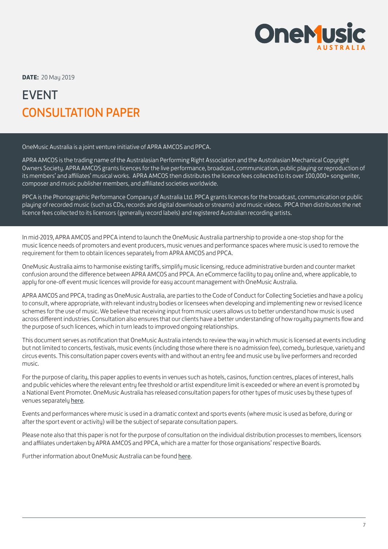

**DATE:** 20 May 2019

# EVENT CONSULTATION PAPER

OneMusic Australia is a joint venture initiative of APRA AMCOS and PPCA.

APRA AMCOS is the trading name of the Australasian Performing Right Association and the Australasian Mechanical Copyright Owners Society. APRA AMCOS grants licences for the live performance, broadcast, communication, public playing or reproduction of its members' and affiliates' musical works. APRA AMCOS then distributes the licence fees collected to its over 100,000+ songwriter, composer and music publisher members, and affiliated societies worldwide.

PPCA is the Phonographic Performance Company of Australia Ltd. PPCA grants licences for the broadcast, communication or public playing of recorded music (such as CDs, records and digital downloads or streams) and music videos. PPCA then distributes the net licence fees collected to its licensors (generally record labels) and registered Australian recording artists.

In mid-2019, APRA AMCOS and PPCA intend to launch the OneMusic Australia partnership to provide a one-stop shop for the music licence needs of promoters and event producers, music venues and performance spaces where music is used to remove the requirement for them to obtain licences separately from APRA AMCOS and PPCA.

OneMusic Australia aims to harmonise existing tariffs, simplify music licensing, reduce administrative burden and counter market confusion around the difference between APRA AMCOS and PPCA. An eCommerce facility to pay online and, where applicable, to apply for one-off event music licences will provide for easy account management with OneMusic Australia.

APRA AMCOS and PPCA, trading as OneMusic Australia, are parties to the Code of Conduct for Collecting Societies and have a policy to consult, where appropriate, with relevant industry bodies or licensees when developing and implementing new or revised licence schemes for the use of music. We believe that receiving input from music users allows us to better understand how music is used across different industries. Consultation also ensures that our clients have a better understanding of how roualty payments flow and the purpose of such licences, which in turn leads to improved ongoing relationships.

This document serves as notification that OneMusic Australia intends to review the way in which music is licensed at events including but not limited to concerts, festivals, music events (including those where there is no admission fee), comedy, burlesque, variety and circus events. This consultation paper covers events with and without an entru fee and music use bu live performers and recorded music.

For the purpose of clarity, this paper applies to events in venues such as hotels, casinos, function centres, places of interest, halls and public vehicles where the relevant entry fee threshold or artist expenditure limit is exceeded or where an event is promoted by a National Event Promoter. OneMusic Australia has released consultation papers for other types of music uses by these types of venues separately [here](http://www.onemusic.com.au/consultations/).

Events and performances where music is used in a dramatic context and sports events (where music is used as before, during or after the sport event or activity) will be the subject of separate consultation papers.

Please note also that this paper is not for the purpose of consultation on the individual distribution processes to members, licensors and affiliates undertaken by APRA AMCOS and PPCA, which are a matter for those organisations' respective Boards.

Further information about OneMusic Australia can be found [here](http://www.onemusic.com.au/faqs).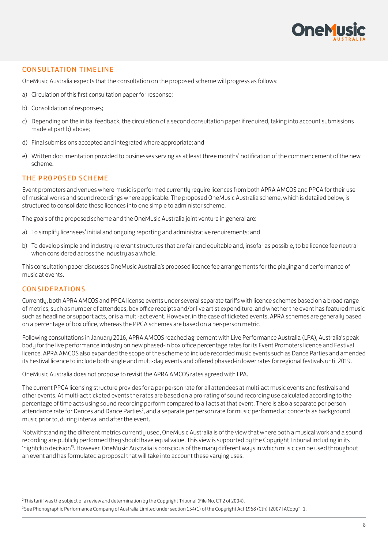

#### CONSULTATION TIMELINE

OneMusic Australia expects that the consultation on the proposed scheme will progress as follows:

- a) Circulation of this first consultation paper for response;
- b) Consolidation of responses;
- c) Depending on the initial feedback, the circulation of a second consultation paper if required, taking into account submissions made at part b) above;
- d) Final submissions accepted and integrated where appropriate; and
- e) Written documentation provided to businesses serving as at least three months' notification of the commencement of the new scheme.

#### THE PROPOSED SCHEME

Event promoters and venues where music is performed currently require licences from both APRA AMCOS and PPCA for their use of musical works and sound recordings where applicable. The proposed OneMusic Australia scheme, which is detailed below, is structured to consolidate these licences into one simple to administer scheme.

The goals of the proposed scheme and the OneMusic Australia joint venture in general are:

- a) To simplify licensees' initial and ongoing reporting and administrative requirements; and
- b) To develop simple and industry-relevant structures that are fair and equitable and, insofar as possible, to be licence fee neutral when considered across the industry as a whole.

This consultation paper discusses OneMusic Australia's proposed licence fee arrangements for the playing and performance of music at events.

#### CONSIDERATIONS

Currently, both APRA AMCOS and PPCA license events under several separate tariffs with licence schemes based on a broad range of metrics, such as number of attendees, box office receipts and/or live artist expenditure, and whether the event has featured music such as headline or support acts, or is a multi-act event. However, in the case of ticketed events, APRA schemes are generally based on a percentage of box office, whereas the PPCA schemes are based on a per-person metric.

Following consultations in January 2016, APRA AMCOS reached agreement with Live Performance Australia (LPA), Australia's peak body for the live performance industry on new phased-in box office percentage rates for its Event Promoters licence and Festival licence. APRA AMCOS also expanded the scope of the scheme to include recorded music events such as Dance Parties and amended its Festival licence to include both single and multi-day events and offered phased-in lower rates for regional festivals until 2019.

OneMusic Australia does not propose to revisit the APRA AMCOS rates agreed with LPA.

The current PPCA licensing structure provides for a per person rate for all attendees at multi-act music events and festivals and other events. At multi-act ticketed events the rates are based on a pro-rating of sound recording use calculated according to the percentage of time acts using sound recording perform compared to all acts at that event. There is also a separate per person attendance rate for Dances and Dance Parties<sup>2</sup>, and a separate per person rate for music performed at concerts as background music prior to, during interval and after the event.

Notwithstanding the different metrics currently used, OneMusic Australia is of the view that where both a musical work and a sound recording are publicly performed they should have equal value. This view is supported by the Copyright Tribunal including in its 'nightclub decision'3 . However, OneMusic Australia is conscious of the many different ways in which music can be used throughout an event and has formulated a proposal that will take into account these varying uses.

<sup>2</sup> This tariff was the subject of a review and determination by the Copyright Tribunal (File No. CT 2 of 2004).

<sup>&</sup>lt;sup>3</sup> See Phonographic Performance Company of Australia Limited under section 154(1) of the Copyright Act 1968 (Cth) [2007] ACopyT\_1.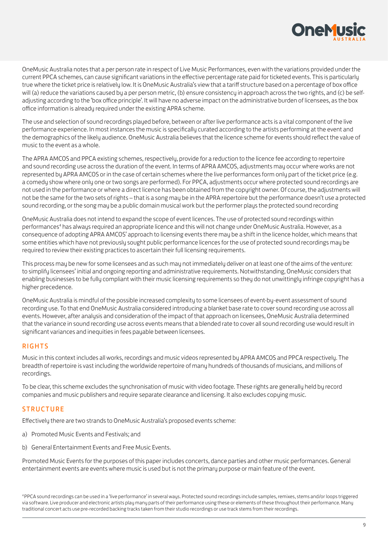

OneMusic Australia notes that a per person rate in respect of Live Music Performances, even with the variations provided under the current PPCA schemes, can cause significant variations in the effective percentage rate paid for ticketed events. This is particularly true where the ticket price is relatively low. It is OneMusic Australia's view that a tariff structure based on a percentage of box office will (a) reduce the variations caused by a per person metric, (b) ensure consistency in approach across the two rights, and (c) be selfadjusting according to the 'box office principle'. It will have no adverse impact on the administrative burden of licensees, as the box office information is already required under the existing APRA scheme.

The use and selection of sound recordings played before, between or after live performance acts is a vital component of the live performance experience. In most instances the music is specifically curated according to the artists performing at the event and the demographics of the likely audience. OneMusic Australia believes that the licence scheme for events should reflect the value of music to the event as a whole.

The APRA AMCOS and PPCA existing schemes, respectively, provide for a reduction to the licence fee according to repertoire and sound recording use across the duration of the event. In terms of APRA AMCOS, adjustments may occur where works are not represented by APRA AMCOS or in the case of certain schemes where the live performances form only part of the ticket price (e.g. a comedy show where only one or two songs are performed). For PPCA, adjustments occur where protected sound recordings are not used in the performance or where a direct licence has been obtained from the copyright owner. Of course, the adjustments will not be the same for the two sets of rights – that is a song may be in the APRA repertoire but the performance doesn't use a protected sound recording, or the song may be a public domain musical work but the performer plays the protected sound recording

OneMusic Australia does not intend to expand the scope of event licences. The use of protected sound recordings within performances<sup>4</sup> has always required an appropriate licence and this will not change under OneMusic Australia. However, as a consequence of adopting APRA AMCOS' approach to licensing events there may be a shift in the licence holder, which means that some entities which have not previously sought public performance licences for the use of protected sound recordings may be required to review their existing practices to ascertain their full licensing requirements.

This process may be new for some licensees and as such may not immediately deliver on at least one of the aims of the venture: to simplify licensees' initial and ongoing reporting and administrative requirements. Notwithstanding, OneMusic considers that enabling businesses to be fully compliant with their music licensing requirements so they do not unwittingly infringe copyright has a higher precedence.

OneMusic Australia is mindful of the possible increased complexity to some licensees of event-by-event assessment of sound recording use. To that end OneMusic Australia considered introducing a blanket base rate to cover sound recording use across all events. However, after analysis and consideration of the impact of that approach on licensees, OneMusic Australia determined that the variance in sound recording use across events means that a blended rate to cover all sound recording use would result in significant variances and inequities in fees payable between licensees.

#### RIGHTS

Music in this context includes all works, recordings and music videos represented by APRA AMCOS and PPCA respectively. The breadth of repertoire is vast including the worldwide repertoire of many hundreds of thousands of musicians, and millions of recordings.

To be clear, this scheme excludes the synchronisation of music with video footage. These rights are generally held by record companies and music publishers and require separate clearance and licensing. It also excludes copying music.

#### **STRUCTURE**

Effectively there are two strands to OneMusic Australia's proposed events scheme:

- a) Promoted Music Events and Festivals; and
- b) General Entertainment Events and Free Music Events.

Promoted Music Events for the purposes of this paper includes concerts, dance parties and other music performances. General entertainment events are events where music is used but is not the primary purpose or main feature of the event.

4 PPCA sound recordings can be used in a 'live performance' in several ways. Protected sound recordings include samples, remixes, stems and/or loops triggered via software. Live producer and electronic artists play many parts of their performance using these or elements of these throughout their performance. Many traditional concert acts use pre-recorded backing tracks taken from their studio recordings or use track stems from their recordings.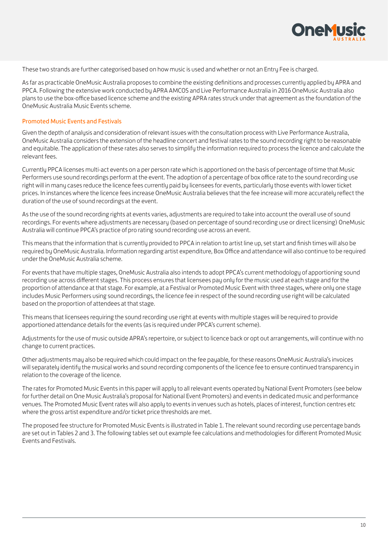

These two strands are further categorised based on how music is used and whether or not an Entry Fee is charged.

As far as practicable OneMusic Australia proposes to combine the existing definitions and processes currently applied by APRA and PPCA. Following the extensive work conducted by APRA AMCOS and Live Performance Australia in 2016 OneMusic Australia also plans to use the box-office based licence scheme and the existing APRA rates struck under that agreement as the foundation of the OneMusic Australia Music Events scheme.

#### Promoted Music Events and Festivals

Given the depth of analysis and consideration of relevant issues with the consultation process with Live Performance Australia, OneMusic Australia considers the extension of the headline concert and festival rates to the sound recording right to be reasonable and equitable. The application of these rates also serves to simplify the information required to process the licence and calculate the relevant fees.

Currently PPCA licenses multi-act events on a per person rate which is apportioned on the basis of percentage of time that Music Performers use sound recordings perform at the event. The adoption of a percentage of box office rate to the sound recording use right will in many cases reduce the licence fees currently paid by licensees for events, particularly those events with lower ticket prices. In instances where the licence fees increase OneMusic Australia believes that the fee increase will more accurately reflect the duration of the use of sound recordings at the event.

As the use of the sound recording rights at events varies, adjustments are required to take into account the overall use of sound recordings. For events where adjustments are necessary (based on percentage of sound recording use or direct licensing) OneMusic Australia will continue PPCA's practice of pro rating sound recording use across an event.

This means that the information that is currently provided to PPCA in relation to artist line up, set start and finish times will also be required by OneMusic Australia. Information regarding artist expenditure, Box Office and attendance will also continue to be required under the OneMusic Australia scheme.

For events that have multiple stages, OneMusic Australia also intends to adopt PPCA's current methodology of apportioning sound recording use across different stages. This process ensures that licensees pay only for the music used at each stage and for the proportion of attendance at that stage. For example, at a Festival or Promoted Music Event with three stages, where only one stage includes Music Performers using sound recordings, the licence fee in respect of the sound recording use right will be calculated based on the proportion of attendees at that stage.

This means that licensees requiring the sound recording use right at events with multiple stages will be required to provide apportioned attendance details for the events (as is required under PPCA's current scheme).

Adjustments for the use of music outside APRA's repertoire, or subject to licence back or opt out arrangements, will continue with no change to current practices.

Other adjustments may also be required which could impact on the fee payable, for these reasons OneMusic Australia's invoices will separately identify the musical works and sound recording components of the licence fee to ensure continued transparency in relation to the coverage of the licence.

The rates for Promoted Music Events in this paper will apply to all relevant events operated by National Event Promoters (see below for further detail on One Music Australia's proposal for National Event Promoters) and events in dedicated music and performance venues. The Promoted Music Event rates will also apply to events in venues such as hotels, places of interest, function centres etc where the gross artist expenditure and/or ticket price thresholds are met.

The proposed fee structure for Promoted Music Events is illustrated in Table 1. The relevant sound recording use percentage bands are set out in Tables 2 and 3. The following tables set out example fee calculations and methodologies for different Promoted Music Events and Festivals.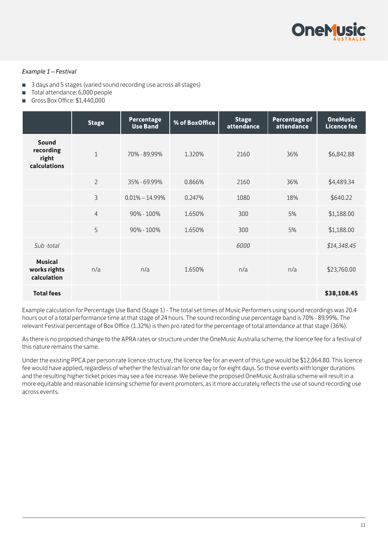

#### *Example 1 – Festival*

- 3 days and 5 stages (varied sound recording use across all stages)
- Total attendance: 6,000 people
- Gross Box Office: \$1,440,000

|                                               | <b>Stage</b>   | <b>Percentage</b><br><b>Use Band</b> | % of BoxOffice | <b>Stage</b><br>attendance | Percentage of<br>attendance | <b>OneMusic</b><br><b>Licence fee</b> |
|-----------------------------------------------|----------------|--------------------------------------|----------------|----------------------------|-----------------------------|---------------------------------------|
| Sound<br>recording<br>right<br>calculations   | $\mathbf{1}$   | 70% - 89.99%                         | 1.320%         | 2160                       | 36%                         | \$6,842.88                            |
|                                               | $\overline{2}$ | 35% - 69.99%                         | 0.866%         | 2160                       | 36%                         | \$4,489.34                            |
|                                               | 3              | $0.01\% - 14.99\%$                   | 0.247%         | 1080                       | 18%                         | \$640.22                              |
|                                               | $\overline{4}$ | 90% - 100%                           | 1.650%         | 300                        | 5%                          | \$1,188.00                            |
|                                               | 5              | 90% - 100%                           | 1.650%         | 300                        | 5%                          | \$1,188.00                            |
| Sub-total                                     |                |                                      |                | 6000                       |                             | \$14,348.45                           |
| <b>Musical</b><br>works rights<br>calculation | n/a            | n/a                                  | 1.650%         | n/a                        | n/a                         | \$23,760.00                           |
| <b>Total fees</b>                             |                |                                      |                |                            |                             | \$38,108.45                           |

Example calculation for Percentage Use Band (Stage 1) - The total set times of Music Performers using sound recordings was 20.4 hours out of a total performance time at that stage of 24 hours. The sound recording use percentage band is 70% - 89.99%. The relevant Festival percentage of Box Office (1.32%) is then pro rated for the percentage of total attendance at that stage (36%).

As there is no proposed change to the APRA rates or structure under the OneMusic Australia scheme, the licence fee for a festival of this nature remains the same.

Under the existing PPCA per person rate licence structure, the licence fee for an event of this type would be \$12,064.80. This licence fee would have applied, regardless of whether the festival ran for one day or for eight days. So those events with longer durations and the resulting higher ticket prices may see a fee increase. We believe the proposed OneMusic Australia scheme will result in a more equitable and reasonable licensing scheme for event promoters, as it more accurately reflects the use of sound recording use across events.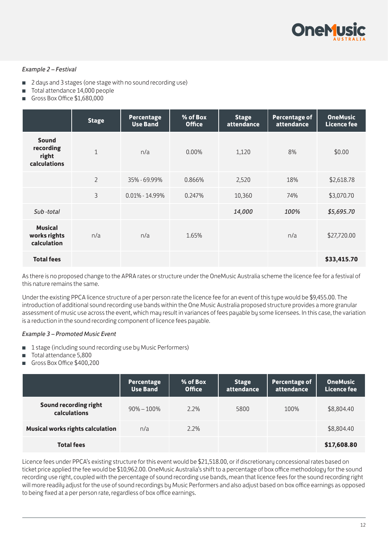

#### *Example 2 – Festival*

- 2 days and 3 stages (one stage with no sound recording use)
- Total attendance 14,000 people
- Gross Box Office \$1,680,000

|                                               | <b>Stage</b>   | <b>Percentage</b><br><b>Use Band</b> | % of Box<br><b>Office</b> | <b>Stage</b><br>attendance | <b>Percentage of</b><br>attendance | <b>OneMusic</b><br>Licence fee |
|-----------------------------------------------|----------------|--------------------------------------|---------------------------|----------------------------|------------------------------------|--------------------------------|
| Sound<br>recording<br>right<br>calculations   | $\mathbf{1}$   | n/a                                  | $0.00\%$                  | 1,120                      | 8%                                 | \$0.00                         |
|                                               | $\overline{2}$ | 35% - 69.99%                         | 0.866%                    | 2,520                      | 18%                                | \$2,618.78                     |
|                                               | 3              | $0.01\% - 14.99\%$                   | 0.247%                    | 10,360                     | 74%                                | \$3,070.70                     |
| Sub-total                                     |                |                                      |                           | 14,000                     | 100%                               | \$5,695.70                     |
| <b>Musical</b><br>works rights<br>calculation | n/a            | n/a                                  | 1.65%                     |                            | n/a                                | \$27,720.00                    |
| <b>Total fees</b>                             |                |                                      |                           |                            |                                    | \$33,415.70                    |

As there is no proposed change to the APRA rates or structure under the OneMusic Australia scheme the licence fee for a festival of this nature remains the same.

Under the existing PPCA licence structure of a per person rate the licence fee for an event of this type would be \$9,455.00. The introduction of additional sound recording use bands within the One Music Australia proposed structure provides a more granular assessment of music use across the event, which may result in variances of fees payable by some licensees. In this case, the variation is a reduction in the sound recording component of licence fees payable.

#### *Example 3 – Promoted Music Event*

- 1 stage (including sound recording use by Music Performers)
- Total attendance 5,800
- Gross Box Office \$400,200

|                                         | <b>Percentage</b><br><b>Use Band</b> | % of Box<br><b>Office</b> | <b>Stage</b><br>attendance | Percentage of<br>attendance | <b>OneMusic</b><br>Licence fee |
|-----------------------------------------|--------------------------------------|---------------------------|----------------------------|-----------------------------|--------------------------------|
| Sound recording right<br>calculations   | $90\% - 100\%$                       | 2.2%                      | 5800                       | 100%                        | \$8,804.40                     |
| <b>Musical works rights calculation</b> | n/a                                  | $2.2\%$                   |                            |                             | \$8,804.40                     |
| <b>Total fees</b>                       |                                      |                           |                            |                             | \$17,608.80                    |

Licence fees under PPCA's existing structure for this event would be \$21,518.00, or if discretionary concessional rates based on ticket price applied the fee would be \$10,962.00. OneMusic Australia's shift to a percentage of box office methodology for the sound recording use right, coupled with the percentage of sound recording use bands, mean that licence fees for the sound recording right will more readily adjust for the use of sound recordings by Music Performers and also adjust based on box office earnings as opposed to being fixed at a per person rate, regardless of box office earnings.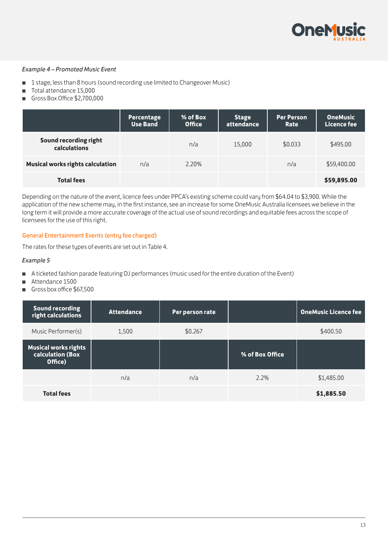

#### *Example 4 – Promoted Music Event*

- 1 stage, less than 8 hours (sound recording use limited to Changeover Music)
- Total attendance 15.000
- Gross Box Office \$2,700,000

|                                         | <b>Percentage</b><br><b>Use Band</b> | % of Box<br><b>Office</b> | <b>Stage</b><br>attendance | <b>Per Person</b><br>Rate | <b>OneMusic</b><br><b>Licence fee</b> |
|-----------------------------------------|--------------------------------------|---------------------------|----------------------------|---------------------------|---------------------------------------|
| Sound recording right<br>calculations   |                                      | n/a                       | 15,000                     | \$0.033                   | \$495.00                              |
| <b>Musical works rights calculation</b> | n/a                                  | 2.20%                     |                            | n/a                       | \$59,400.00                           |
| <b>Total fees</b>                       |                                      |                           |                            |                           | \$59,895.00                           |

Depending on the nature of the event, licence fees under PPCA's existing scheme could vary from \$64.04 to \$3,900. While the application of the new scheme may, in the first instance, see an increase for some OneMusic Australia licensees we believe in the long term it will provide a more accurate coverage of the actual use of sound recordings and equitable fees across the scope of licensees for the use of this right.

#### General Entertainment Events (entry fee charged)

The rates for these types of events are set out in Table 4.

#### *Example 5*

- A ticketed fashion parade featuring DJ performances (music used for the entire duration of the Event)
- Attendance 1500
- Gross box office \$67,500

| <b>Sound recording</b><br>right calculations               | <b>Attendance</b> | Per person rate |                 | <b>OneMusic Licence fee</b> |
|------------------------------------------------------------|-------------------|-----------------|-----------------|-----------------------------|
| Music Performer(s)                                         | 1,500             | \$0.267         |                 | \$400.50                    |
| <b>Musical works rights</b><br>calculation (Box<br>Office) |                   |                 | % of Box Office |                             |
|                                                            | n/a               | n/a             | 2.2%            | \$1,485.00                  |
| <b>Total fees</b>                                          |                   |                 |                 | \$1,885.50                  |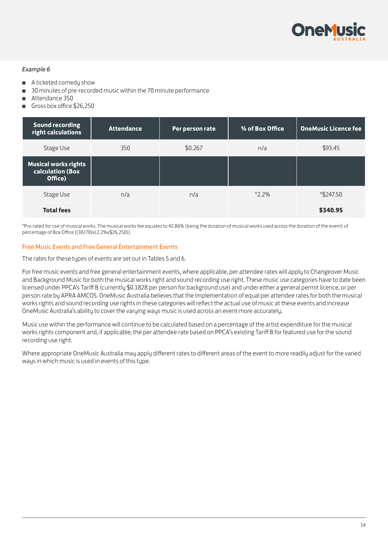

#### *Example 6*

- A ticketed comedy show
- 30 minutes of pre-recorded music within the 70 minute performance
- Attendance 350
- Gross box office \$26,250

| <b>Sound recording</b><br>right calculations               | <b>Attendance</b> | Per person rate | % of Box Office | <b>OneMusic Licence fee</b> |
|------------------------------------------------------------|-------------------|-----------------|-----------------|-----------------------------|
| Stage Use                                                  | 350               | \$0.267         | n/a             | \$93.45                     |
| <b>Musical works rights</b><br>calculation (Box<br>Office) |                   |                 |                 |                             |
| Stage Use                                                  | n/a               | n/a             | $*2.2\%$        | *\$247.50                   |
| <b>Total fees</b>                                          |                   |                 |                 | \$340.95                    |

\*Pro-rated for use of musical works. The musical works fee equates to 42.86% (being the duration of musical works used across the duration of the event) of percentage of Box Office [(30/70)x(2.2%x\$26,250)].

#### Free Music Events and Free General Entertainment Events

The rates for these types of events are set out in Tables 5 and 6.

For free music events and free general entertainment events, where applicable, per attendee rates will apply to Changeover Music and Background Music for both the musical works right and sound recording use right. These music use categories have to date been licensed under PPCA's Tariff B (currently \$0.1828 per person for background use) and under either a general permit licence, or per person rate by APRA AMCOS. OneMusic Australia believes that the implementation of equal per attendee rates for both the musical works rights and sound recording use rights in these categories will reflect the actual use of music at these events and increase OneMusic Australia's ability to cover the varying ways music is used across an event more accurately.

Music use within the performance will continue to be calculated based on a percentage of the artist expenditure for the musical works rights component and, if applicable, the per attendee rate based on PPCA's existing Tariff B for featured use for the sound recording use right.

Where appropriate OneMusic Australia may apply different rates to different areas of the event to more readily adjust for the varied ways in which music is used in events of this type.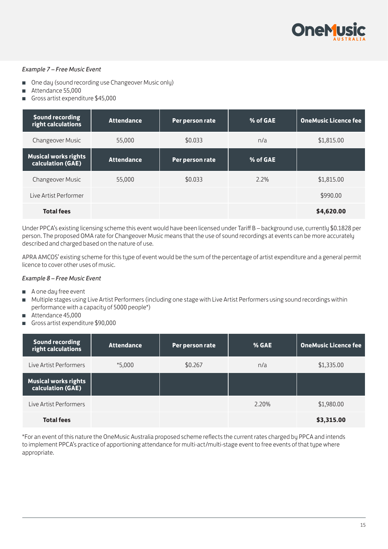

#### *Example 7 – Free Music Event*

- One day (sound recording use Changeover Music only)
- Attendance 55,000
- Gross artist expenditure \$45,000

| <b>Sound recording</b><br>right calculations     | <b>Attendance</b> | Per person rate | % of GAE | <b>OneMusic Licence fee</b> |
|--------------------------------------------------|-------------------|-----------------|----------|-----------------------------|
| <b>Changeover Music</b>                          | 55,000            | \$0.033         | n/a      | \$1,815.00                  |
| <b>Musical works rights</b><br>calculation (GAE) | <b>Attendance</b> | Per person rate | % of GAE |                             |
| <b>Changeover Music</b>                          | 55,000            | \$0.033         | 2.2%     | \$1,815.00                  |
| Live Artist Performer                            |                   |                 |          | \$990.00                    |
| <b>Total fees</b>                                |                   |                 |          | \$4,620.00                  |

Under PPCA's existing licensing scheme this event would have been licensed under Tariff B – background use, currently \$0.1828 per person. The proposed OMA rate for Changeover Music means that the use of sound recordings at events can be more accurately described and charged based on the nature of use.

APRA AMCOS' existing scheme for this type of event would be the sum of the percentage of artist expenditure and a general permit licence to cover other uses of music.

#### *Example 8 – Free Music Event*

- A one day free event
- Multiple stages using Live Artist Performers (including one stage with Live Artist Performers using sound recordings within performance with a capacity of 5000 people\*)
- Attendance 45,000
- Gross artist expenditure \$90,000

| <b>Sound recording</b><br>right calculations     | <b>Attendance</b> | Per person rate | % GAE | <b>OneMusic Licence fee</b> |
|--------------------------------------------------|-------------------|-----------------|-------|-----------------------------|
| Live Artist Performers                           | $*5,000$          | \$0.267         | n/a   | \$1,335.00                  |
| <b>Musical works rights</b><br>calculation (GAE) |                   |                 |       |                             |
| Live Artist Performers                           |                   |                 | 2.20% | \$1,980.00                  |
| <b>Total fees</b>                                |                   |                 |       | \$3,315.00                  |

\*For an event of this nature the OneMusic Australia proposed scheme reflects the current rates charged by PPCA and intends to implement PPCA's practice of apportioning attendance for multi-act/multi-stage event to free events of that type where appropriate.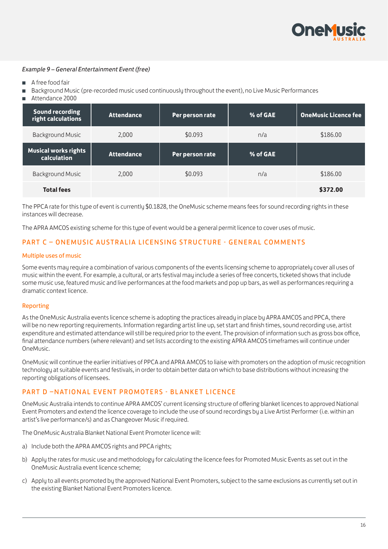

#### *Example 9 – General Entertainment Event (free)*

- A free food fair
- Background Music (pre-recorded music used continuously throughout the event), no Live Music Performances
- Attendance 2000

| <b>Sound recording</b><br>right calculations | <b>Attendance</b> | Per person rate | % of GAE | <b>OneMusic Licence fee</b> |
|----------------------------------------------|-------------------|-----------------|----------|-----------------------------|
| <b>Background Music</b>                      | 2,000             | \$0.093         | n/a      | \$186.00                    |
| <b>Musical works rights</b><br>calculation   | <b>Attendance</b> | Per person rate | % of GAE |                             |
| <b>Background Music</b>                      | 2.000             | \$0.093         | n/a      | \$186.00                    |
| <b>Total fees</b>                            |                   |                 |          | \$372.00                    |

The PPCA rate for this type of event is currently \$0.1828, the OneMusic scheme means fees for sound recording rights in these instances will decrease.

The APRA AMCOS existing scheme for this tupe of event would be a general permit licence to cover uses of music.

#### PART C - ONEMUSIC AUSTRALIA LICENSING STRUCTURE - GENERAL COMMENTS

#### Multiple uses of music

Some events may require a combination of various components of the events licensing scheme to appropriately cover all uses of music within the event. For example, a cultural, or arts festival may include a series of free concerts, ticketed shows that include some music use, featured music and live performances at the food markets and pop up bars, as well as performances requiring a dramatic context licence.

#### Reporting

As the OneMusic Australia events licence scheme is adopting the practices already in place by APRA AMCOS and PPCA, there will be no new reporting requirements. Information regarding artist line up, set start and finish times, sound recording use, artist expenditure and estimated attendance will still be required prior to the event. The provision of information such as gross box office, final attendance numbers (where relevant) and set lists according to the existing APRA AMCOS timeframes will continue under OneMusic.

OneMusic will continue the earlier initiatives of PPCA and APRA AMCOS to liaise with promoters on the adoption of music recognition technology at suitable events and festivals, in order to obtain better data on which to base distributions without increasing the reporting obligations of licensees.

#### PART D -NATIONAL EVENT PROMOTERS - BLANKET LICENCE

OneMusic Australia intends to continue APRA AMCOS' current licensing structure of offering blanket licences to approved National Event Promoters and extend the licence coverage to include the use of sound recordings by a Live Artist Performer (i.e. within an artist's live performance/s) and as Changeover Music if required.

The OneMusic Australia Blanket National Event Promoter licence will:

- a) Include both the APRA AMCOS rights and PPCA rights;
- b) Apply the rates for music use and methodology for calculating the licence fees for Promoted Music Events as set out in the OneMusic Australia event licence scheme;
- c) Apply to all events promoted by the approved National Event Promoters, subject to the same exclusions as currently set out in the existing Blanket National Event Promoters licence.